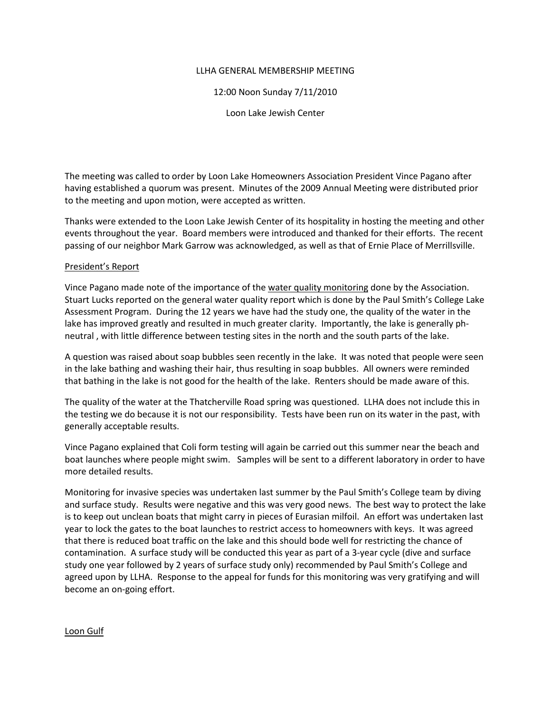## LLHA GENERAL MEMBERSHIP MEETING

12:00 Noon Sunday 7/11/2010

Loon Lake Jewish Center

The meeting was called to order by Loon Lake Homeowners Association President Vince Pagano after having established a quorum was present. Minutes of the 2009 Annual Meeting were distributed prior to the meeting and upon motion, were accepted as written.

Thanks were extended to the Loon Lake Jewish Center of its hospitality in hosting the meeting and other events throughout the year. Board members were introduced and thanked for their efforts. The recent passing of our neighbor Mark Garrow was acknowledged, as well as that of Ernie Place of Merrillsville.

## President's Report

Vince Pagano made note of the importance of the water quality monitoring done by the Association. Stuart Lucks reported on the general water quality report which is done by the Paul Smith's College Lake Assessment Program. During the 12 years we have had the study one, the quality of the water in the lake has improved greatly and resulted in much greater clarity. Importantly, the lake is generally phneutral, with little difference between testing sites in the north and the south parts of the lake.

A question was raised about soap bubbles seen recently in the lake. It was noted that people were seen in the lake bathing and washing their hair, thus resulting in soap bubbles. All owners were reminded that bathing in the lake is not good for the health of the lake. Renters should be made aware of this.

The quality of the water at the Thatcherville Road spring was questioned. LLHA does not include this in the testing we do because it is not our responsibility. Tests have been run on its water in the past, with generally acceptable results.

Vince Pagano explained that Coli form testing will again be carried out this summer near the beach and boat launches where people might swim. Samples will be sent to a different laboratory in order to have more detailed results.

Monitoring for invasive species was undertaken last summer by the Paul Smith's College team by diving and surface study. Results were negative and this was very good news. The best way to protect the lake is to keep out unclean boats that might carry in pieces of Eurasian milfoil. An effort was undertaken last year to lock the gates to the boat launches to restrict access to homeowners with keys. It was agreed that there is reduced boat traffic on the lake and this should bode well for restricting the chance of contamination. A surface study will be conducted this year as part of a 3-year cycle (dive and surface study one year followed by 2 years of surface study only) recommended by Paul Smith's College and agreed upon by LLHA. Response to the appeal for funds for this monitoring was very gratifying and will become an on-going effort.

Loon Gulf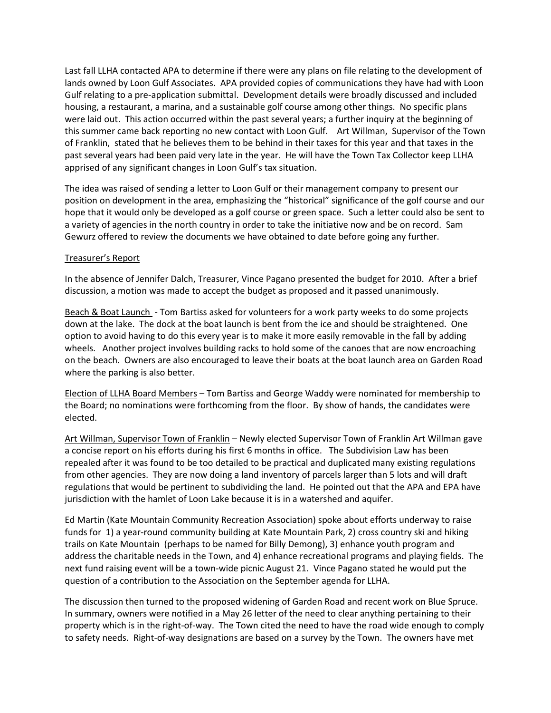Last fall LLHA contacted APA to determine if there were any plans on file relating to the development of lands owned by Loon Gulf Associates. APA provided copies of communications they have had with Loon Gulf relating to a pre-application submittal. Development details were broadly discussed and included housing, a restaurant, a marina, and a sustainable golf course among other things. No specific plans were laid out. This action occurred within the past several years; a further inquiry at the beginning of this summer came back reporting no new contact with Loon Gulf. Art Willman, Supervisor of the Town of Franklin, stated that he believes them to be behind in their taxes for this year and that taxes in the past several years had been paid very late in the year. He will have the Town Tax Collector keep LLHA apprised of any significant changes in Loon Gulf's tax situation.

The idea was raised of sending a letter to Loon Gulf or their management company to present our position on development in the area, emphasizing the "historical" significance of the golf course and our hope that it would only be developed as a golf course or green space. Such a letter could also be sent to a variety of agencies in the north country in order to take the initiative now and be on record. Sam Gewurz offered to review the documents we have obtained to date before going any further.

## Treasurer's Report

In the absence of Jennifer Dalch, Treasurer, Vince Pagano presented the budget for 2010. After a brief discussion, a motion was made to accept the budget as proposed and it passed unanimously.

Beach & Boat Launch - Tom Bartiss asked for volunteers for a work party weeks to do some projects down at the lake. The dock at the boat launch is bent from the ice and should be straightened. One option to avoid having to do this every year is to make it more easily removable in the fall by adding wheels. Another project involves building racks to hold some of the canoes that are now encroaching on the beach. Owners are also encouraged to leave their boats at the boat launch area on Garden Road where the parking is also better.

Election of LLHA Board Members - Tom Bartiss and George Waddy were nominated for membership to the Board; no nominations were forthcoming from the floor. By show of hands, the candidates were elected.

Art Willman, Supervisor Town of Franklin - Newly elected Supervisor Town of Franklin Art Willman gave a concise report on his efforts during his first 6 months in office. The Subdivision Law has been repealed after it was found to be too detailed to be practical and duplicated many existing regulations from other agencies. They are now doing a land inventory of parcels larger than 5 lots and will draft regulations that would be pertinent to subdividing the land. He pointed out that the APA and EPA have jurisdiction with the hamlet of Loon Lake because it is in a watershed and aquifer.

Ed Martin (Kate Mountain Community Recreation Association) spoke about efforts underway to raise funds for 1) a year-round community building at Kate Mountain Park, 2) cross country ski and hiking trails on Kate Mountain (perhaps to be named for Billy Demong), 3) enhance youth program and address the charitable needs in the Town, and 4) enhance recreational programs and playing fields. The next fund raising event will be a town-wide picnic August 21. Vince Pagano stated he would put the question of a contribution to the Association on the September agenda for LLHA.

The discussion then turned to the proposed widening of Garden Road and recent work on Blue Spruce. In summary, owners were notified in a May 26 letter of the need to clear anything pertaining to their property which is in the right-of-way. The Town cited the need to have the road wide enough to comply to safety needs. Right-of-way designations are based on a survey by the Town. The owners have met